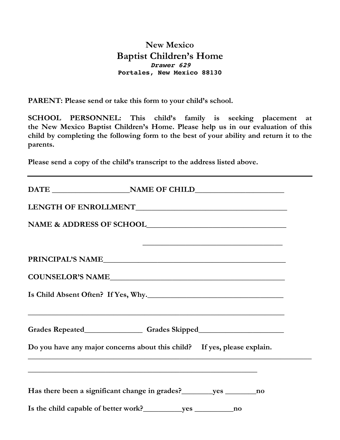## **New Mexico Baptist Children's Home Drawer 629 Portales, New Mexico 88130**

**PARENT: Please send or take this form to your child's school.**

**SCHOOL PERSONNEL: This child's family is seeking placement at the New Mexico Baptist Children's Home. Please help us in our evaluation of this child by completing the following form to the best of your ability and return it to the parents.**

**Please send a copy of the child's transcript to the address listed above.**

|  | <u> 1990 - Johann Stoff, amerikansk politiker (d. 1980)</u>                                                                                     |
|--|-------------------------------------------------------------------------------------------------------------------------------------------------|
|  | PRINCIPAL'S NAME                                                                                                                                |
|  |                                                                                                                                                 |
|  | Is Child Absent Often? If Yes, Why.                                                                                                             |
|  | <u> 1989 - Johann Stoff, amerikansk politiker (d. 1989)</u><br>Grades Repeated__________________Grades Skipped_________________________________ |
|  | Do you have any major concerns about this child? If yes, please explain.                                                                        |
|  | ,我们也不会有什么。""我们的人,我们也不会有什么?""我们的人,我们也不会有什么?""我们的人,我们也不会有什么?""我们的人,我们也不会有什么?""我们的人                                                                |
|  | Has there been a significant change in grades? _________ yes __________ no                                                                      |
|  |                                                                                                                                                 |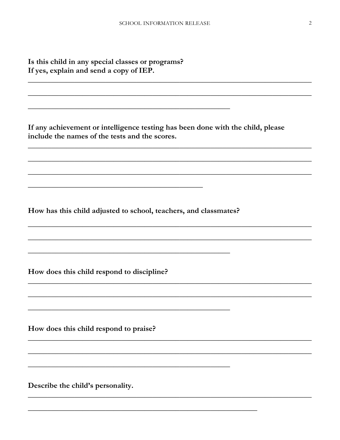Is this child in any special classes or programs? If yes, explain and send a copy of IEP.

If any achievement or intelligence testing has been done with the child, please include the names of the tests and the scores.

How has this child adjusted to school, teachers, and classmates?

How does this child respond to discipline?

How does this child respond to praise?

Describe the child's personality.